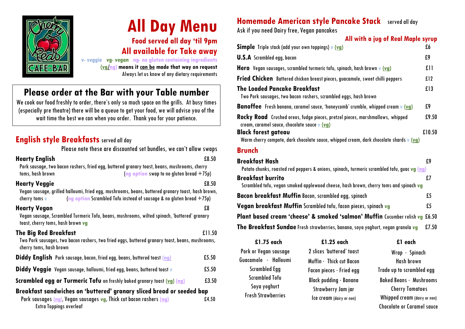

# **All Day Menu**

**Food served all day 'til 9pm All available for Take away**

**v- veggie vg- vegan ng- no gluten containing ingredients (vg/ng) means it can be made that way on request** Always let us know of any dietary requirements

# **Please order at the Bar with your Table number**

We cook our food freshly to order, there's only so much space on the grills. At busy times (especially pre theatre) there will be a queue to get your food, we will advise youof the wait time the best we can when you order. Thank you for your patience.

### **English style Breakfasts** served all day

Please note these are discounted set bundles, we can't allow swaps **Hearty English** £8.50 Pork sausage, two bacon rashers, fried egg, buttered granary toast, beans, mushrooms, cherry toms, hash brown (**ng option** swap to no gluten bread +75p) **Hearty Veggie** £8.50 Vegansausage, grilled halloumi, fried egg, mushrooms, beans, buttered granary toast, hash brown, cherry toms **v** (**ng option** Scrambled Tofu instead of sausage & no gluten bread +75p) **Hearty Vegan** £8 Vegansausage, Scrambled Turmeric Tofu, beans, mushrooms, wilted spinach, 'buttered' granary toast, cherry toms, hash brown va **The Big Red Breakfast** £11.50 Two Pork sausages, two bacon rashers, two fried eggs, buttered granary toast, beans, mushrooms, cherry toms, hash brown **Diddy English** Pork sausage, bacon, fried egg, beans, buttered toast **(ng)** £5.50 **Diddy Veggie** Vegan sausage, halloumi, fried egg, beans, buttered toast **v** £5.50 **Scrambled egg or Turmeric Tofu** on freshly baked granary toast (vg) (ng)  $\qquad 23.50$ **Breakfast sandwiches on 'buttered' granary sliced bread or seeded bap**

 Pork sausages **(ng**), Vegan sausages **vg**, Thick cut bacon rashers **(ng)** £4.50 Extra Toppings overleaf

# **Homemade American style Pancake Stack** served all day

Ask if you need Dairy free,Vegan pancakes

| All with a jug of Real Maple syrup                                                                                                   |        |
|--------------------------------------------------------------------------------------------------------------------------------------|--------|
| <b>Simple</b> Triple stack (add your own toppings) v (vg)                                                                            | £6     |
| <b>U.S.A</b> Scrambled egg, bacon                                                                                                    | £9     |
| Hero Vegan sausages, scrambled turmeric tofu, spinach, hash brown v (vg)                                                             | f11    |
| Fried Chicken Battered chicken breast pieces, guacamole, sweet chilli peppers                                                        | £12    |
| <b>The Loaded Pancake Breakfast</b><br>Two Pork sausages, two bacon rashers, scrambled eggs, hash brown                              | £13    |
| <b>Banoffee</b> Fresh banana, caramel savce, 'honeycomb' crumble, whipped cream v (vg)                                               | £9     |
| <b>Rocky Road</b> Crushed oreos, fudge pieces, pretzel pieces, marshmallows, whipped<br>cream, caramel savce, chocolate savce v (vg) | £9.50  |
| <b>Black forest gateav</b><br>Warm cherry compote, dark chocolate sauce, whipped cream, dark chocolate shards v (vg)                 | £10.50 |
| <b>Brunch</b>                                                                                                                        |        |
| <b>Breakfast Hash</b><br>Potato chunks, roasted red peppers & onions, spinach, turmeric scrambled tofu, guac vg (ng)                 | £9     |
| <b>Breakfast burrito</b><br>Scrambled tofu, vegan smoked applewood cheese, hash brown, cherry toms and spinach vg                    | f.7    |
| <b>Bacon breakfast Muffin Bacon, scrambled egg, spinach</b>                                                                          | £5     |
| Vegan breakfast Muffin Scrambled tofu, facon pieces, spinach vg                                                                      | £5     |
| Plant based cream 'cheese' & smoked 'salmon' Muffin Cucumber relish vg                                                               | £6.50  |
| The Breakfast Sundae Fresh strawberries, banana, soya yoghurt, vegan granola vg                                                      | £7.50  |

| £1.75 each                | £1.25 each                     | £1 each                        |
|---------------------------|--------------------------------|--------------------------------|
| Pork or Vegan sausage     | 2 slices 'buttered' toast      | $W$ rap · Spinach              |
| Guacamole · Halloumi      | Muffin · Thick cut Bacon       | <b>Hash brown</b>              |
| <b>Scrambled Egg</b>      | Facon pieces $\cdot$ Fried egg | Trade up to scrambled egg      |
| <b>Scrambled Tofu</b>     | Black pudding · Banana         | <b>Baked Beans · Mushrooms</b> |
| Soya yoghurt              | Strawberry Jam jar             | <b>Cherry Tomatoes</b>         |
| <b>Fresh Strawberries</b> | Ice cream (dairy or non)       | Whipped cream (dairy or non)   |
|                           |                                | Chocolate or Caramel sauce     |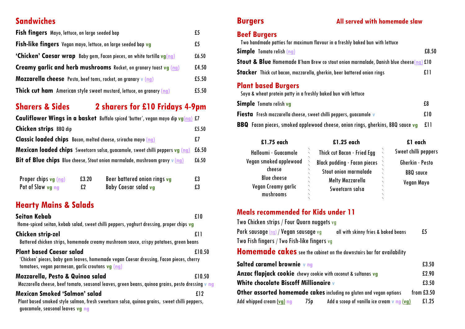### **Sandwiches**

| <b>Fish fingers</b> Mayo, lettuce, on large seeded bap                        | £5    |
|-------------------------------------------------------------------------------|-------|
| <b>Fish-like fingers</b> Vegan mayo, lettuce, on large seeded bap vg          | £5    |
| <b>'Chicken' Caesar wrap</b> Baby gem, Facon pieces, on white tortilla vg(ng) | £6.50 |
| <b>Creamy garlic and herb mushrooms</b> Rocket, on granary toast vg (ng)      | £4.50 |
| <b>Mozzarella cheese</b> Pesto, beef toms, rocket, on granary v (ng)          | £5.50 |
| <b>Thick cut ham</b> American style sweet mustard, lettuce, on granary (ng)   | £5.50 |

## **Sharers & Sides 2 sharers for £10 Fridays 4-9pm**

| Cauliflower Wings in a basket Buffalo spiced 'butter', vegan mayo dip vg(ng) £7               |       |
|-----------------------------------------------------------------------------------------------|-------|
| <b>Chicken strips</b> BBQ dip                                                                 | £5.50 |
| <b>Classic loaded chips</b> Bacon, melted cheese, sriracha mayo (ng)                          | £7    |
| <b>Mexican loaded chips</b> Sweetcorn salsa, guacamole, sweet chilli peppers vg (ng) £6.50    |       |
| <b>Bit of Blue chips</b> Blue cheese, Stout onion marmalade, mushroom gravy $\mathbf{v}$ (ng) | £6.50 |
|                                                                                               |       |

| Proper chips vg ( <mark>ng)</mark> | £3.20 | Beer battered onion rings vg | £3 |
|------------------------------------|-------|------------------------------|----|
| Pot of Slaw vg ng                  | £2    | Baby Caesar salad vg         | £3 |

### **Hearty Mains & Salads**

| <b>Seitan Kebab</b><br>Home-spiced seitan, kebab salad, sweet chilli peppers, yoghurt dressing, proper chips vg                                                                 | £10    |
|---------------------------------------------------------------------------------------------------------------------------------------------------------------------------------|--------|
| <b>Chicken strip-zel</b><br>Battered chicken strips, homemade creamy mushroom sauce, crispy potatoes, green beans                                                               | £11    |
| <b>Plant based Caesar salad</b><br>'Chicken' pieces, baby gem leaves, homemade vegan Caesar dressing, Facon pieces, cherry<br>tomatoes, vegan parmesan, garlic croutons vg (ng) | £10.50 |
| <b>Mozzarella, Pesto &amp; Quinoa salad</b><br>Mozzarella cheese, beef tomato, seasonal leaves, green beans, quinoa grains, pesto dressing v ng                                 | £10.50 |
| Mexican Smoked 'Salmon' salad<br>Plant based smoked style salmon, fresh sweetcorn salsa, quinoa grains, sweet chilli peppers,<br>gvacamole, seasonal leaves vg ng               | f.12   |

### **Beef Burgers**

| Two handmade patties for maximum flavour in a freshly baked bun with lettuce                     |       |
|--------------------------------------------------------------------------------------------------|-------|
| <b>Simple</b> Tomato relish (ng)                                                                 | £8.50 |
| <b>Stout &amp; Blue</b> Homemade B'ham Brew co stout onion marmalade, Danish blue cheese(ng) £10 |       |
| <b>Stacker</b> Thick cut bacon, mozzarella, gherkin, beer battered onion rings                   | £11   |
| <b>Plant based Burgers</b><br>Soya & wheat protein patty in a freshly baked bun with lettuce     |       |
| <b>Simple</b> Tomato relish vg                                                                   | £8    |

**Fiesta** Fresh mozzarella cheese, sweet chilli peppers, guacamole **v**  $\mathbf{f}$  **E10 BBQ** Facon pieces, smoked applewood cheese, onion rings, gherkins, BBQ sauce**vg** £11

| £1.75 each             | £1.25 each                          | £1 each              |
|------------------------|-------------------------------------|----------------------|
| Halloumi · Guacamole   | Thick cut Bacon · Fried Egg         | Sweet chilli peppers |
| Vegan smoked applewood | <b>Black pudding · Facon pieces</b> | Gherkin · Pesto      |
| cheese                 | Stout onion marmalade               | <b>BBQ</b> sauce     |
| <b>Blue cheese</b>     | Melty Mozzarella                    | Vegan Mayo           |
| Vegan Creamy garlic    | Sweetcorn salsa                     |                      |
| mushrooms              |                                     |                      |

### **Meals recommended for Kids under 11**

| Two Chicken strips / Four Quorn nuggets vg  |                                     |    |
|---------------------------------------------|-------------------------------------|----|
| Pork savsage (ng) / Vegan savsage vg        | all with skinny fries & baked beans | £5 |
| Two Fish fingers / Two Fish-like fingers vg |                                     |    |
|                                             |                                     |    |

**Homemade cakes** see the cabinet on the downstairs bar for availability

| Salted caramel brownie v ng                                          |      |                                                                     | £3.50        |
|----------------------------------------------------------------------|------|---------------------------------------------------------------------|--------------|
| <b>Anzac flapjack cookie</b> chewy cookie with coconut & sultanas vg |      |                                                                     | £2.90        |
| <b>White chocolate Biscoff Millionaire v</b>                         |      | £3.50                                                               |              |
|                                                                      |      | Other assorted homemade cakes including no gluten and vegan options | from $£3.50$ |
| Add whipped cream (vg) ng                                            | 75 p | Add a scoop of vanilla ice cream $\bf{v}$ ng ( $\bf{v}$ g)          | £1.25        |